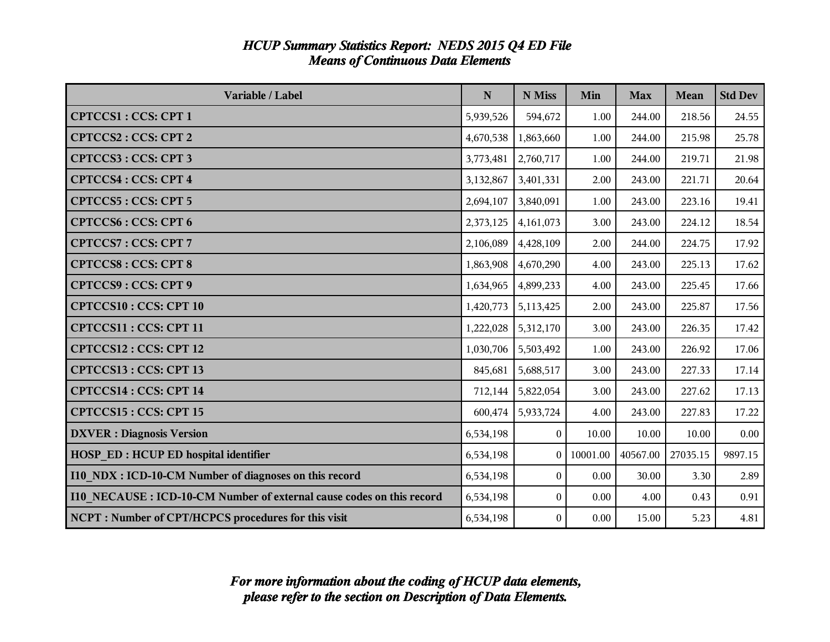| Variable / Label                                                     | ${\bf N}$ | N Miss           | Min      | <b>Max</b> | <b>Mean</b> | <b>Std Dev</b> |
|----------------------------------------------------------------------|-----------|------------------|----------|------------|-------------|----------------|
| <b>CPTCCS1: CCS: CPT 1</b>                                           | 5,939,526 | 594,672          | 1.00     | 244.00     | 218.56      | 24.55          |
| <b>CPTCCS2: CCS: CPT 2</b>                                           | 4,670,538 | 1,863,660        | 1.00     | 244.00     | 215.98      | 25.78          |
| <b>CPTCCS3: CCS: CPT3</b>                                            | 3,773,481 | 2,760,717        | 1.00     | 244.00     | 219.71      | 21.98          |
| <b>CPTCCS4: CCS: CPT 4</b>                                           | 3,132,867 | 3,401,331        | 2.00     | 243.00     | 221.71      | 20.64          |
| <b>CPTCCS5: CCS: CPT 5</b>                                           | 2,694,107 | 3,840,091        | 1.00     | 243.00     | 223.16      | 19.41          |
| <b>CPTCCS6: CCS: CPT 6</b>                                           | 2,373,125 | 4,161,073        | 3.00     | 243.00     | 224.12      | 18.54          |
| <b>CPTCCS7: CCS: CPT 7</b>                                           | 2,106,089 | 4,428,109        | 2.00     | 244.00     | 224.75      | 17.92          |
| <b>CPTCCS8: CCS: CPT 8</b>                                           | 1,863,908 | 4,670,290        | 4.00     | 243.00     | 225.13      | 17.62          |
| <b>CPTCCS9: CCS: CPT 9</b>                                           | 1,634,965 | 4,899,233        | 4.00     | 243.00     | 225.45      | 17.66          |
| <b>CPTCCS10: CCS: CPT 10</b>                                         | 1,420,773 | 5,113,425        | 2.00     | 243.00     | 225.87      | 17.56          |
| CPTCCS11: CCS: CPT 11                                                | 1,222,028 | 5,312,170        | 3.00     | 243.00     | 226.35      | 17.42          |
| CPTCCS12: CCS: CPT 12                                                | 1,030,706 | 5,503,492        | 1.00     | 243.00     | 226.92      | 17.06          |
| CPTCCS13: CCS: CPT 13                                                | 845,681   | 5,688,517        | 3.00     | 243.00     | 227.33      | 17.14          |
| CPTCCS14 : CCS: CPT 14                                               | 712,144   | 5,822,054        | 3.00     | 243.00     | 227.62      | 17.13          |
| CPTCCS15: CCS: CPT 15                                                | 600,474   | 5,933,724        | 4.00     | 243.00     | 227.83      | 17.22          |
| <b>DXVER</b> : Diagnosis Version                                     | 6,534,198 | $\theta$         | 10.00    | 10.00      | 10.00       | 0.00           |
| <b>HOSP_ED: HCUP ED hospital identifier</b>                          | 6,534,198 | $\Omega$         | 10001.00 | 40567.00   | 27035.15    | 9897.15        |
| I10_NDX : ICD-10-CM Number of diagnoses on this record               | 6,534,198 | $\boldsymbol{0}$ | 0.00     | 30.00      | 3.30        | 2.89           |
| 110 NECAUSE: ICD-10-CM Number of external cause codes on this record | 6,534,198 | $\theta$         | 0.00     | 4.00       | 0.43        | 0.91           |
| NCPT: Number of CPT/HCPCS procedures for this visit                  | 6,534,198 | $\boldsymbol{0}$ | 0.00     | 15.00      | 5.23        | 4.81           |

#### *HCUP Summary Statistics Report: NEDS 2015 Q4 ED File Means of Continuous Data Elements*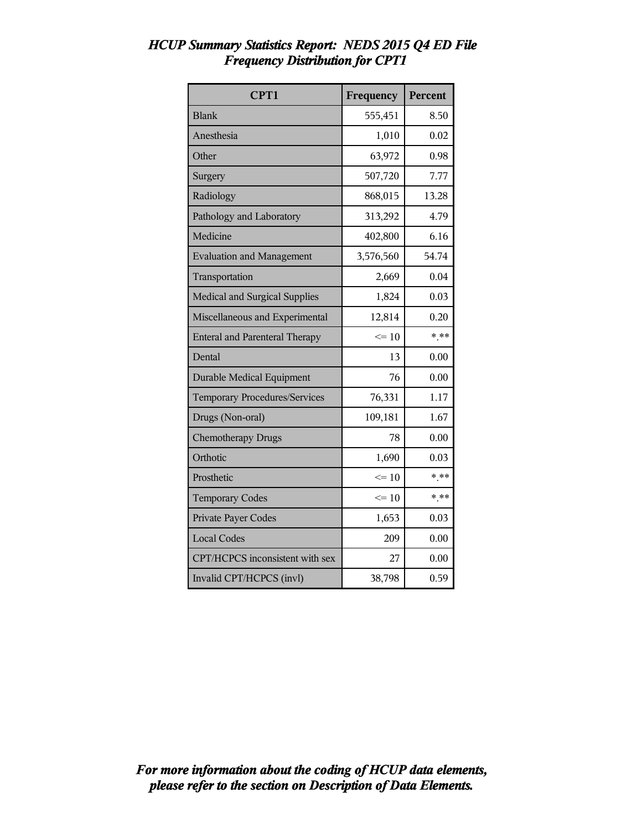| CPT1                                  | Frequency | Percent |
|---------------------------------------|-----------|---------|
| <b>Blank</b>                          | 555,451   | 8.50    |
| Anesthesia                            | 1,010     | 0.02    |
| Other                                 | 63,972    | 0.98    |
| Surgery                               | 507,720   | 7.77    |
| Radiology                             | 868,015   | 13.28   |
| Pathology and Laboratory              | 313,292   | 4.79    |
| Medicine                              | 402,800   | 6.16    |
| <b>Evaluation and Management</b>      | 3,576,560 | 54.74   |
| Transportation                        | 2,669     | 0.04    |
| <b>Medical and Surgical Supplies</b>  | 1,824     | 0.03    |
| Miscellaneous and Experimental        | 12,814    | 0.20    |
| <b>Enteral and Parenteral Therapy</b> | $\leq 10$ | $***$   |
| Dental                                | 13        | 0.00    |
| <b>Durable Medical Equipment</b>      | 76        | 0.00    |
| Temporary Procedures/Services         | 76,331    | 1.17    |
| Drugs (Non-oral)                      | 109,181   | 1.67    |
| <b>Chemotherapy Drugs</b>             | 78        | 0.00    |
| Orthotic                              | 1,690     | 0.03    |
| Prosthetic                            | $\leq 10$ | $* * *$ |
| <b>Temporary Codes</b>                | $\leq$ 10 | $* * *$ |
| <b>Private Payer Codes</b>            | 1,653     | 0.03    |
| <b>Local Codes</b>                    | 209       | 0.00    |
| CPT/HCPCS inconsistent with sex       | 27        | 0.00    |
| Invalid CPT/HCPCS (invl)              | 38,798    | 0.59    |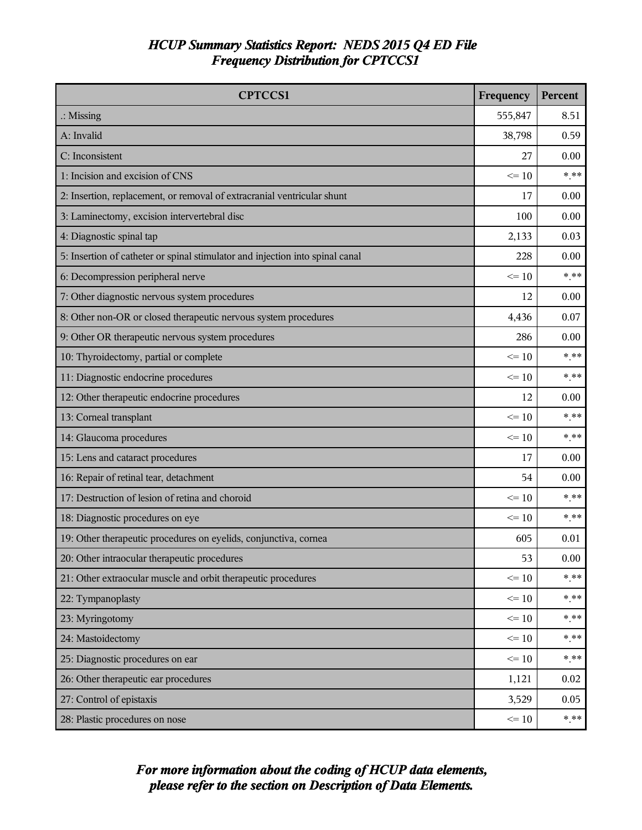| <b>CPTCCS1</b>                                                                | Frequency | Percent |
|-------------------------------------------------------------------------------|-----------|---------|
| $\therefore$ Missing                                                          | 555,847   | 8.51    |
| A: Invalid                                                                    | 38,798    | 0.59    |
| C: Inconsistent                                                               | 27        | 0.00    |
| 1: Incision and excision of CNS                                               | $\leq 10$ | $*$ **  |
| 2: Insertion, replacement, or removal of extracranial ventricular shunt       | 17        | 0.00    |
| 3: Laminectomy, excision intervertebral disc                                  | 100       | 0.00    |
| 4: Diagnostic spinal tap                                                      | 2,133     | 0.03    |
| 5: Insertion of catheter or spinal stimulator and injection into spinal canal | 228       | 0.00    |
| 6: Decompression peripheral nerve                                             | $\leq 10$ | $*$ **  |
| 7: Other diagnostic nervous system procedures                                 | 12        | 0.00    |
| 8: Other non-OR or closed therapeutic nervous system procedures               | 4,436     | 0.07    |
| 9: Other OR therapeutic nervous system procedures                             | 286       | 0.00    |
| 10: Thyroidectomy, partial or complete                                        | $\leq$ 10 | $***$   |
| 11: Diagnostic endocrine procedures                                           | $\leq 10$ | $*$ **  |
| 12: Other therapeutic endocrine procedures                                    | 12        | 0.00    |
| 13: Corneal transplant                                                        | $\leq 10$ | $***$   |
| 14: Glaucoma procedures                                                       | $\leq$ 10 | $*$ **  |
| 15: Lens and cataract procedures                                              | 17        | 0.00    |
| 16: Repair of retinal tear, detachment                                        | 54        | 0.00    |
| 17: Destruction of lesion of retina and choroid                               | $\leq 10$ | * **    |
| 18: Diagnostic procedures on eye                                              | $\leq$ 10 | $***$   |
| 19: Other therapeutic procedures on eyelids, conjunctiva, cornea              | 605       | 0.01    |
| 20: Other intraocular therapeutic procedures                                  | 53        | 0.00    |
| 21: Other extraocular muscle and orbit therapeutic procedures                 | $\leq 10$ | $* * *$ |
| 22: Tympanoplasty                                                             | $\leq 10$ | * **    |
| 23: Myringotomy                                                               | $\leq 10$ | * **    |
| 24: Mastoidectomy                                                             | $\leq 10$ | $* * *$ |
| 25: Diagnostic procedures on ear                                              | $\leq 10$ | $***$   |
| 26: Other therapeutic ear procedures                                          | 1,121     | 0.02    |
| 27: Control of epistaxis                                                      | 3,529     | 0.05    |
| 28: Plastic procedures on nose                                                | $\leq 10$ | $***$   |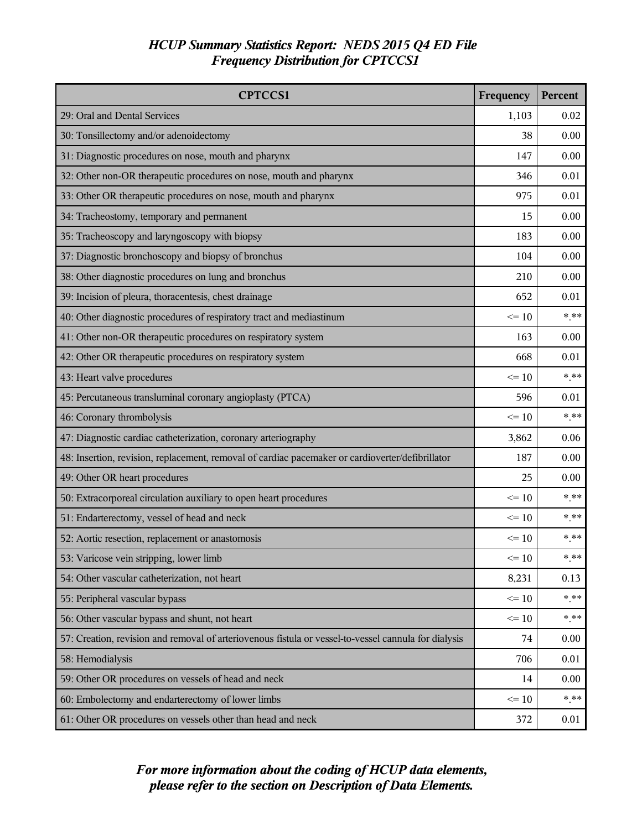| <b>CPTCCS1</b>                                                                                       | Frequency | Percent |
|------------------------------------------------------------------------------------------------------|-----------|---------|
| 29: Oral and Dental Services                                                                         | 1,103     | 0.02    |
| 30: Tonsillectomy and/or adenoidectomy                                                               | 38        | 0.00    |
| 31: Diagnostic procedures on nose, mouth and pharynx                                                 | 147       | 0.00    |
| 32: Other non-OR therapeutic procedures on nose, mouth and pharynx                                   | 346       | 0.01    |
| 33: Other OR therapeutic procedures on nose, mouth and pharynx                                       | 975       | 0.01    |
| 34: Tracheostomy, temporary and permanent                                                            | 15        | 0.00    |
| 35: Tracheoscopy and laryngoscopy with biopsy                                                        | 183       | 0.00    |
| 37: Diagnostic bronchoscopy and biopsy of bronchus                                                   | 104       | 0.00    |
| 38: Other diagnostic procedures on lung and bronchus                                                 | 210       | 0.00    |
| 39: Incision of pleura, thoracentesis, chest drainage                                                | 652       | 0.01    |
| 40: Other diagnostic procedures of respiratory tract and mediastinum                                 | $\leq$ 10 | $***$   |
| 41: Other non-OR therapeutic procedures on respiratory system                                        | 163       | 0.00    |
| 42: Other OR therapeutic procedures on respiratory system                                            | 668       | 0.01    |
| 43: Heart valve procedures                                                                           | $\leq 10$ | $*$ **  |
| 45: Percutaneous transluminal coronary angioplasty (PTCA)                                            | 596       | 0.01    |
| 46: Coronary thrombolysis                                                                            | $\leq 10$ | $***$   |
| 47: Diagnostic cardiac catheterization, coronary arteriography                                       | 3,862     | 0.06    |
| 48: Insertion, revision, replacement, removal of cardiac pacemaker or cardioverter/defibrillator     | 187       | 0.00    |
| 49: Other OR heart procedures                                                                        | 25        | 0.00    |
| 50: Extracorporeal circulation auxiliary to open heart procedures                                    | $\leq 10$ | * **    |
| 51: Endarterectomy, vessel of head and neck                                                          | $\leq$ 10 | $***$   |
| 52: Aortic resection, replacement or anastomosis                                                     | $\leq 10$ | $*$ **  |
| 53: Varicose vein stripping, lower limb                                                              | $\leq 10$ | $* * *$ |
| 54: Other vascular catheterization, not heart                                                        | 8,231     | 0.13    |
| 55: Peripheral vascular bypass                                                                       | $\leq 10$ | * **    |
| 56: Other vascular bypass and shunt, not heart                                                       | $\leq 10$ | $***$   |
| 57: Creation, revision and removal of arteriovenous fistula or vessel-to-vessel cannula for dialysis | 74        | 0.00    |
| 58: Hemodialysis                                                                                     | 706       | 0.01    |
| 59: Other OR procedures on vessels of head and neck                                                  | 14        | 0.00    |
| 60: Embolectomy and endarterectomy of lower limbs                                                    | $\leq 10$ | $*$ **  |
| 61: Other OR procedures on vessels other than head and neck                                          | 372       | 0.01    |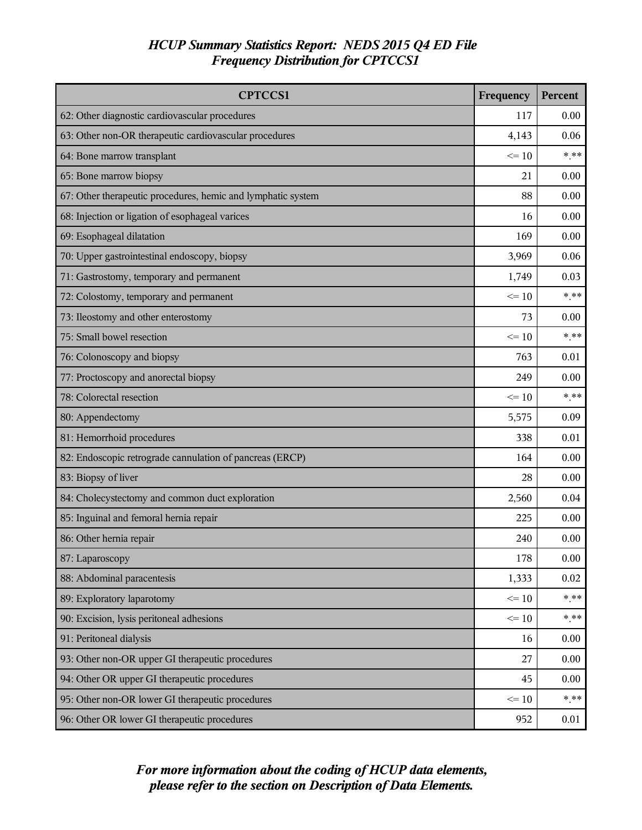| <b>CPTCCS1</b>                                               | Frequency | Percent |
|--------------------------------------------------------------|-----------|---------|
| 62: Other diagnostic cardiovascular procedures               | 117       | 0.00    |
| 63: Other non-OR therapeutic cardiovascular procedures       | 4,143     | 0.06    |
| 64: Bone marrow transplant                                   | $\leq 10$ | $*$ **  |
| 65: Bone marrow biopsy                                       | 21        | 0.00    |
| 67: Other therapeutic procedures, hemic and lymphatic system | 88        | 0.00    |
| 68: Injection or ligation of esophageal varices              | 16        | 0.00    |
| 69: Esophageal dilatation                                    | 169       | 0.00    |
| 70: Upper gastrointestinal endoscopy, biopsy                 | 3,969     | 0.06    |
| 71: Gastrostomy, temporary and permanent                     | 1,749     | 0.03    |
| 72: Colostomy, temporary and permanent                       | $\leq 10$ | $* * *$ |
| 73: Ileostomy and other enterostomy                          | 73        | 0.00    |
| 75: Small bowel resection                                    | $\leq 10$ | $***$   |
| 76: Colonoscopy and biopsy                                   | 763       | 0.01    |
| 77: Proctoscopy and anorectal biopsy                         | 249       | 0.00    |
| 78: Colorectal resection                                     | $\leq 10$ | $* * *$ |
| 80: Appendectomy                                             | 5,575     | 0.09    |
| 81: Hemorrhoid procedures                                    | 338       | 0.01    |
| 82: Endoscopic retrograde cannulation of pancreas (ERCP)     | 164       | 0.00    |
| 83: Biopsy of liver                                          | 28        | 0.00    |
| 84: Cholecystectomy and common duct exploration              | 2,560     | 0.04    |
| 85: Inguinal and femoral hernia repair                       | 225       | 0.00    |
| 86: Other hernia repair                                      | 240       | 0.00    |
| 87: Laparoscopy                                              | 178       | 0.00    |
| 88: Abdominal paracentesis                                   | 1,333     | 0.02    |
| 89: Exploratory laparotomy                                   | $\leq 10$ | $***$   |
| 90: Excision, lysis peritoneal adhesions                     | $\leq 10$ | $***$   |
| 91: Peritoneal dialysis                                      | 16        | 0.00    |
| 93: Other non-OR upper GI therapeutic procedures             | 27        | 0.00    |
| 94: Other OR upper GI therapeutic procedures                 | 45        | 0.00    |
| 95: Other non-OR lower GI therapeutic procedures             | $\leq 10$ | $***$   |
| 96: Other OR lower GI therapeutic procedures                 | 952       | 0.01    |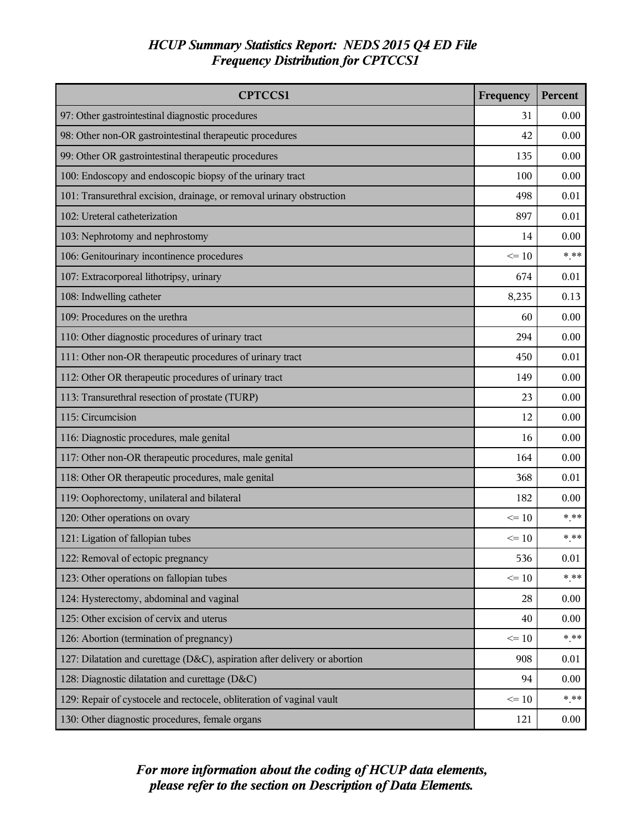| <b>CPTCCS1</b>                                                             | Frequency | Percent |
|----------------------------------------------------------------------------|-----------|---------|
| 97: Other gastrointestinal diagnostic procedures                           | 31        | 0.00    |
| 98: Other non-OR gastrointestinal therapeutic procedures                   | 42        | 0.00    |
| 99: Other OR gastrointestinal therapeutic procedures                       | 135       | 0.00    |
| 100: Endoscopy and endoscopic biopsy of the urinary tract                  | 100       | 0.00    |
| 101: Transurethral excision, drainage, or removal urinary obstruction      | 498       | 0.01    |
| 102: Ureteral catheterization                                              | 897       | 0.01    |
| 103: Nephrotomy and nephrostomy                                            | 14        | 0.00    |
| 106: Genitourinary incontinence procedures                                 | $\leq 10$ | $*$ **  |
| 107: Extracorporeal lithotripsy, urinary                                   | 674       | 0.01    |
| 108: Indwelling catheter                                                   | 8,235     | 0.13    |
| 109: Procedures on the urethra                                             | 60        | 0.00    |
| 110: Other diagnostic procedures of urinary tract                          | 294       | 0.00    |
| 111: Other non-OR therapeutic procedures of urinary tract                  | 450       | 0.01    |
| 112: Other OR therapeutic procedures of urinary tract                      | 149       | 0.00    |
| 113: Transurethral resection of prostate (TURP)                            | 23        | 0.00    |
| 115: Circumcision                                                          | 12        | 0.00    |
| 116: Diagnostic procedures, male genital                                   | 16        | 0.00    |
| 117: Other non-OR therapeutic procedures, male genital                     | 164       | 0.00    |
| 118: Other OR therapeutic procedures, male genital                         | 368       | 0.01    |
| 119: Oophorectomy, unilateral and bilateral                                | 182       | 0.00    |
| 120: Other operations on ovary                                             | $\leq$ 10 | $***$   |
| 121: Ligation of fallopian tubes                                           | $\leq 10$ | $***$   |
| 122: Removal of ectopic pregnancy                                          | 536       | 0.01    |
| 123: Other operations on fallopian tubes                                   | $\leq 10$ | $***$   |
| 124: Hysterectomy, abdominal and vaginal                                   | 28        | 0.00    |
| 125: Other excision of cervix and uterus                                   | 40        | 0.00    |
| 126: Abortion (termination of pregnancy)                                   | $\leq 10$ | $***$   |
| 127: Dilatation and curettage (D&C), aspiration after delivery or abortion | 908       | 0.01    |
| 128: Diagnostic dilatation and curettage (D&C)                             | 94        | 0.00    |
| 129: Repair of cystocele and rectocele, obliteration of vaginal vault      | $\leq 10$ | $***$   |
| 130: Other diagnostic procedures, female organs                            | 121       | 0.00    |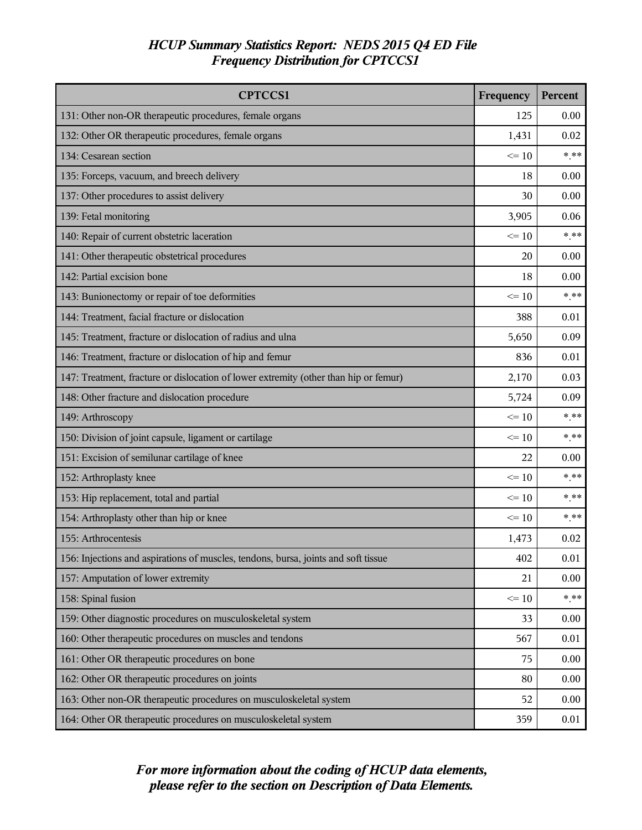| <b>CPTCCS1</b>                                                                       | Frequency | Percent  |
|--------------------------------------------------------------------------------------|-----------|----------|
| 131: Other non-OR therapeutic procedures, female organs                              | 125       | 0.00     |
| 132: Other OR therapeutic procedures, female organs                                  | 1,431     | 0.02     |
| 134: Cesarean section                                                                | $\leq 10$ | $*$ **   |
| 135: Forceps, vacuum, and breech delivery                                            | 18        | 0.00     |
| 137: Other procedures to assist delivery                                             | 30        | 0.00     |
| 139: Fetal monitoring                                                                | 3,905     | 0.06     |
| 140: Repair of current obstetric laceration                                          | $\leq 10$ | $***$    |
| 141: Other therapeutic obstetrical procedures                                        | 20        | 0.00     |
| 142: Partial excision bone                                                           | 18        | 0.00     |
| 143: Bunionectomy or repair of toe deformities                                       | $\leq 10$ | $* * *$  |
| 144: Treatment, facial fracture or dislocation                                       | 388       | 0.01     |
| 145: Treatment, fracture or dislocation of radius and ulna                           | 5,650     | 0.09     |
| 146: Treatment, fracture or dislocation of hip and femur                             | 836       | 0.01     |
| 147: Treatment, fracture or dislocation of lower extremity (other than hip or femur) | 2,170     | 0.03     |
| 148: Other fracture and dislocation procedure                                        | 5,724     | 0.09     |
| 149: Arthroscopy                                                                     | $\leq$ 10 | $***$    |
| 150: Division of joint capsule, ligament or cartilage                                | $\leq$ 10 | $***$    |
| 151: Excision of semilunar cartilage of knee                                         | 22        | 0.00     |
| 152: Arthroplasty knee                                                               | $\leq 10$ | $***$    |
| 153: Hip replacement, total and partial                                              | $\leq 10$ | $***$    |
| 154: Arthroplasty other than hip or knee                                             | $\leq$ 10 | $***$    |
| 155: Arthrocentesis                                                                  | 1,473     | 0.02     |
| 156: Injections and aspirations of muscles, tendons, bursa, joints and soft tissue   | 402       | $0.01\,$ |
| 157: Amputation of lower extremity                                                   | 21        | 0.00     |
| 158: Spinal fusion                                                                   | $\leq 10$ | $***$    |
| 159: Other diagnostic procedures on musculoskeletal system                           | 33        | 0.00     |
| 160: Other therapeutic procedures on muscles and tendons                             | 567       | 0.01     |
| 161: Other OR therapeutic procedures on bone                                         | 75        | 0.00     |
| 162: Other OR therapeutic procedures on joints                                       | 80        | 0.00     |
| 163: Other non-OR therapeutic procedures on musculoskeletal system                   | 52        | 0.00     |
| 164: Other OR therapeutic procedures on musculoskeletal system                       | 359       | 0.01     |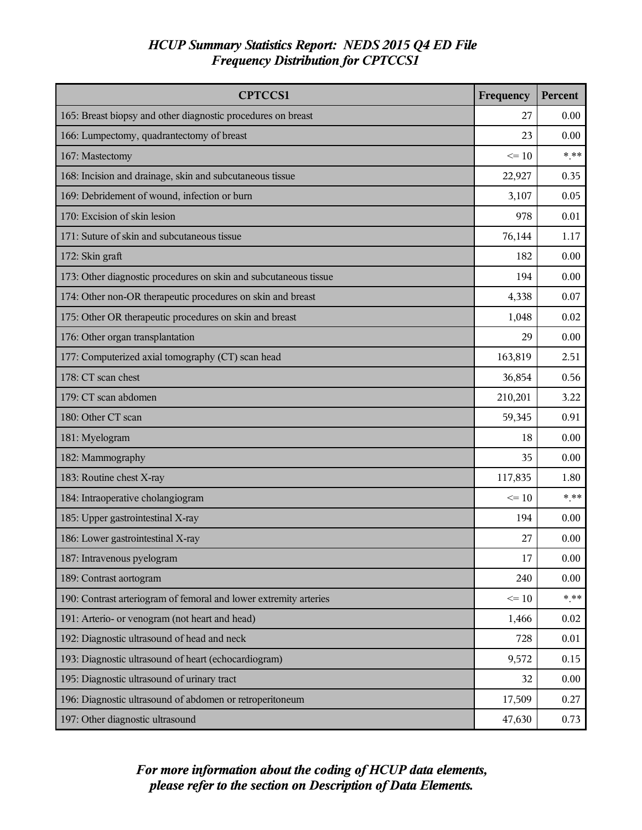| <b>CPTCCS1</b>                                                    | Frequency | Percent |
|-------------------------------------------------------------------|-----------|---------|
| 165: Breast biopsy and other diagnostic procedures on breast      | 27        | 0.00    |
| 166: Lumpectomy, quadrantectomy of breast                         | 23        | 0.00    |
| 167: Mastectomy                                                   | $\leq 10$ | $***$   |
| 168: Incision and drainage, skin and subcutaneous tissue          | 22,927    | 0.35    |
| 169: Debridement of wound, infection or burn                      | 3,107     | 0.05    |
| 170: Excision of skin lesion                                      | 978       | 0.01    |
| 171: Suture of skin and subcutaneous tissue                       | 76,144    | 1.17    |
| 172: Skin graft                                                   | 182       | 0.00    |
| 173: Other diagnostic procedures on skin and subcutaneous tissue  | 194       | 0.00    |
| 174: Other non-OR therapeutic procedures on skin and breast       | 4,338     | 0.07    |
| 175: Other OR therapeutic procedures on skin and breast           | 1,048     | 0.02    |
| 176: Other organ transplantation                                  | 29        | 0.00    |
| 177: Computerized axial tomography (CT) scan head                 | 163,819   | 2.51    |
| 178: CT scan chest                                                | 36,854    | 0.56    |
| 179: CT scan abdomen                                              | 210,201   | 3.22    |
| 180: Other CT scan                                                | 59,345    | 0.91    |
| 181: Myelogram                                                    | 18        | 0.00    |
| 182: Mammography                                                  | 35        | 0.00    |
| 183: Routine chest X-ray                                          | 117,835   | 1.80    |
| 184: Intraoperative cholangiogram                                 | $\leq 10$ | $*$ **  |
| 185: Upper gastrointestinal X-ray                                 | 194       | 0.00    |
| 186: Lower gastrointestinal X-ray                                 | 27        | 0.00    |
| 187: Intravenous pyelogram                                        | 17        | 0.00    |
| 189: Contrast aortogram                                           | 240       | 0.00    |
| 190: Contrast arteriogram of femoral and lower extremity arteries | $\leq 10$ | $***$   |
| 191: Arterio- or venogram (not heart and head)                    | 1,466     | 0.02    |
| 192: Diagnostic ultrasound of head and neck                       | 728       | 0.01    |
| 193: Diagnostic ultrasound of heart (echocardiogram)              | 9,572     | 0.15    |
| 195: Diagnostic ultrasound of urinary tract                       | 32        | 0.00    |
| 196: Diagnostic ultrasound of abdomen or retroperitoneum          | 17,509    | 0.27    |
| 197: Other diagnostic ultrasound                                  | 47,630    | 0.73    |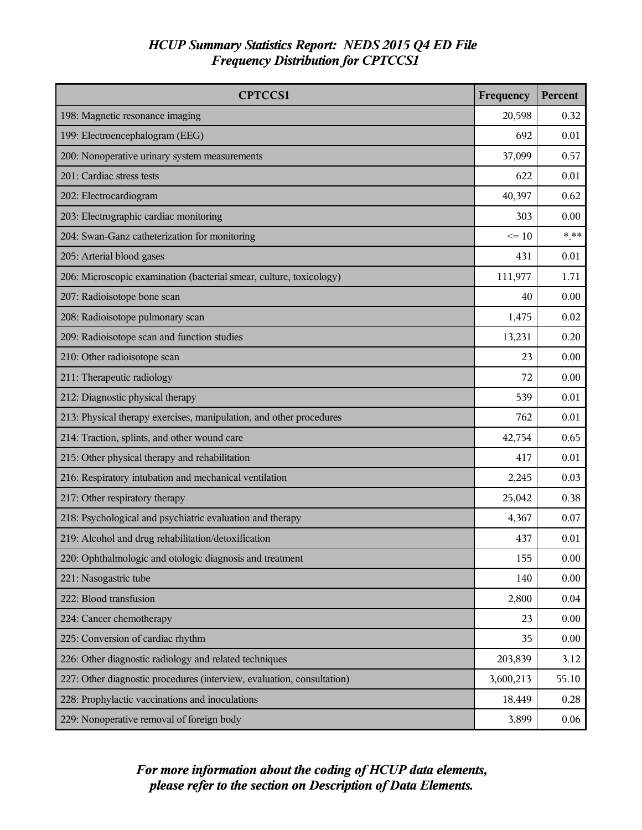| <b>CPTCCS1</b>                                                         | Frequency | Percent |
|------------------------------------------------------------------------|-----------|---------|
| 198: Magnetic resonance imaging                                        | 20,598    | 0.32    |
| 199: Electroencephalogram (EEG)                                        | 692       | 0.01    |
| 200: Nonoperative urinary system measurements                          | 37,099    | 0.57    |
| 201: Cardiac stress tests                                              | 622       | 0.01    |
| 202: Electrocardiogram                                                 | 40,397    | 0.62    |
| 203: Electrographic cardiac monitoring                                 | 303       | 0.00    |
| 204: Swan-Ganz catheterization for monitoring                          | $\leq 10$ | $***$   |
| 205: Arterial blood gases                                              | 431       | 0.01    |
| 206: Microscopic examination (bacterial smear, culture, toxicology)    | 111,977   | 1.71    |
| 207: Radioisotope bone scan                                            | 40        | 0.00    |
| 208: Radioisotope pulmonary scan                                       | 1,475     | 0.02    |
| 209: Radioisotope scan and function studies                            | 13,231    | 0.20    |
| 210: Other radioisotope scan                                           | 23        | 0.00    |
| 211: Therapeutic radiology                                             | 72        | 0.00    |
| 212: Diagnostic physical therapy                                       | 539       | 0.01    |
| 213: Physical therapy exercises, manipulation, and other procedures    | 762       | 0.01    |
| 214: Traction, splints, and other wound care                           | 42,754    | 0.65    |
| 215: Other physical therapy and rehabilitation                         | 417       | 0.01    |
| 216: Respiratory intubation and mechanical ventilation                 | 2,245     | 0.03    |
| 217: Other respiratory therapy                                         | 25,042    | 0.38    |
| 218: Psychological and psychiatric evaluation and therapy              | 4,367     | 0.07    |
| 219: Alcohol and drug rehabilitation/detoxification                    | 437       | 0.01    |
| 220: Ophthalmologic and otologic diagnosis and treatment               | 155       | 0.00    |
| 221: Nasogastric tube                                                  | 140       | 0.00    |
| 222: Blood transfusion                                                 | 2,800     | 0.04    |
| 224: Cancer chemotherapy                                               | 23        | 0.00    |
| 225: Conversion of cardiac rhythm                                      | 35        | 0.00    |
| 226: Other diagnostic radiology and related techniques                 | 203,839   | 3.12    |
| 227: Other diagnostic procedures (interview, evaluation, consultation) | 3,600,213 | 55.10   |
| 228: Prophylactic vaccinations and inoculations                        | 18,449    | 0.28    |
| 229: Nonoperative removal of foreign body                              | 3,899     | 0.06    |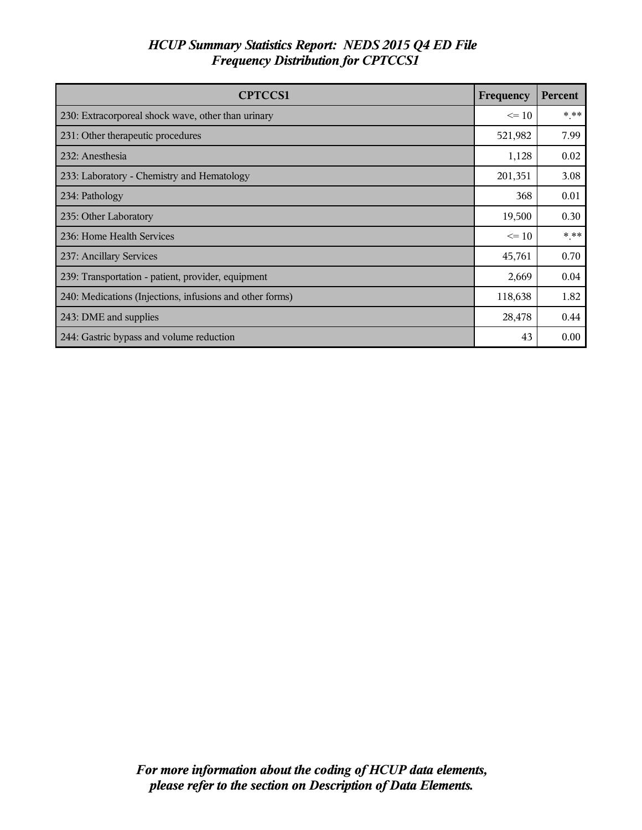| <b>CPTCCS1</b>                                           | Frequency | Percent |
|----------------------------------------------------------|-----------|---------|
| 230: Extracorporeal shock wave, other than urinary       | $\leq$ 10 | $***$   |
| 231: Other therapeutic procedures                        | 521,982   | 7.99    |
| 232: Anesthesia                                          | 1,128     | 0.02    |
| 233: Laboratory - Chemistry and Hematology               | 201,351   | 3.08    |
| 234: Pathology                                           | 368       | 0.01    |
| 235: Other Laboratory                                    | 19,500    | 0.30    |
| 236: Home Health Services                                | $\leq$ 10 | $***$   |
| 237: Ancillary Services                                  | 45,761    | 0.70    |
| 239: Transportation - patient, provider, equipment       | 2,669     | 0.04    |
| 240: Medications (Injections, infusions and other forms) | 118,638   | 1.82    |
| 243: DME and supplies                                    | 28,478    | 0.44    |
| 244: Gastric bypass and volume reduction                 | 43        | 0.00    |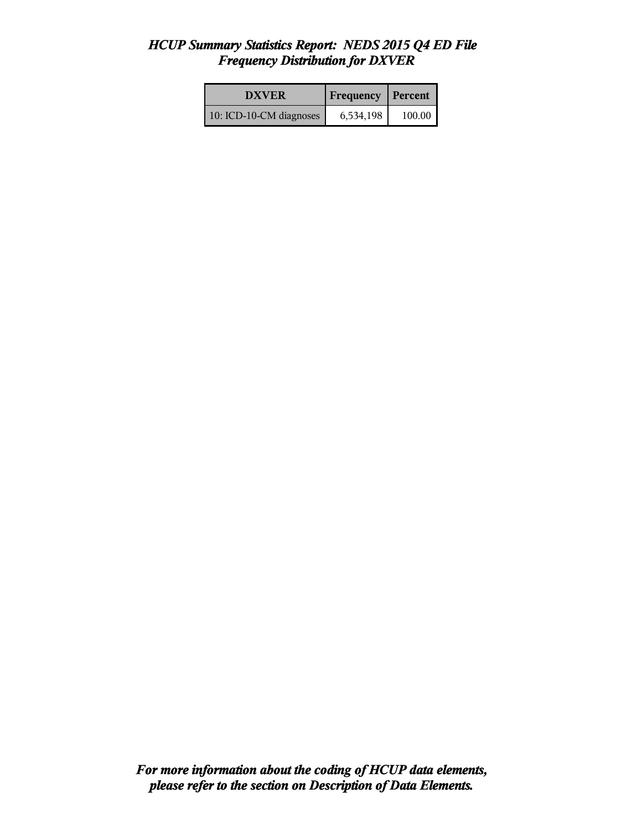| <b>DXVER</b>            | <b>Frequency Percent</b> |        |
|-------------------------|--------------------------|--------|
| 10: ICD-10-CM diagnoses | 6,534,198                | 100.00 |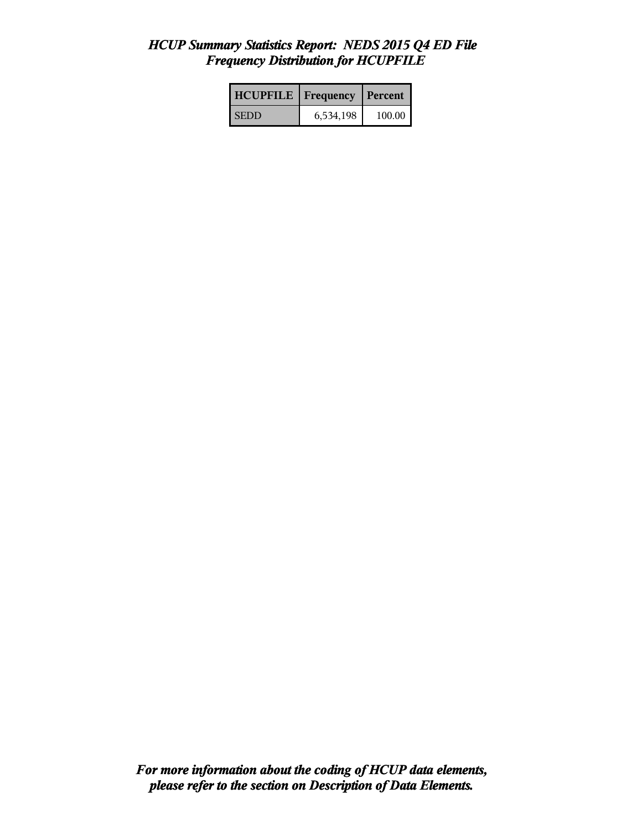| <b>HCUPFILE</b>   Frequency |           | l Percent |
|-----------------------------|-----------|-----------|
| <b>SEDD</b>                 | 6,534,198 | 100.00    |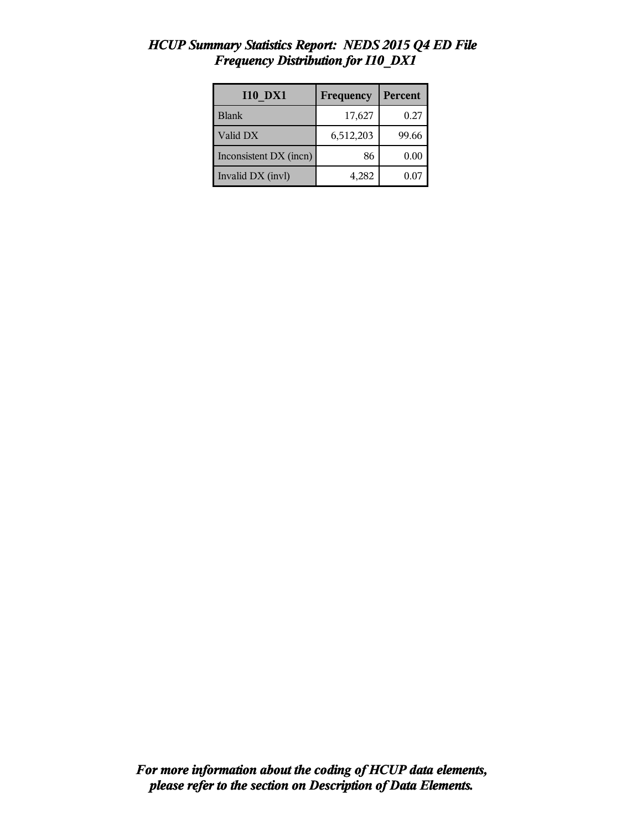| <b>I10 DX1</b>         | Frequency | Percent |
|------------------------|-----------|---------|
| <b>Blank</b>           | 17,627    | 0.27    |
| Valid DX               | 6,512,203 | 99.66   |
| Inconsistent DX (incn) | 86        | 0.00    |
| Invalid DX (invl)      | 4,282     | 0.07    |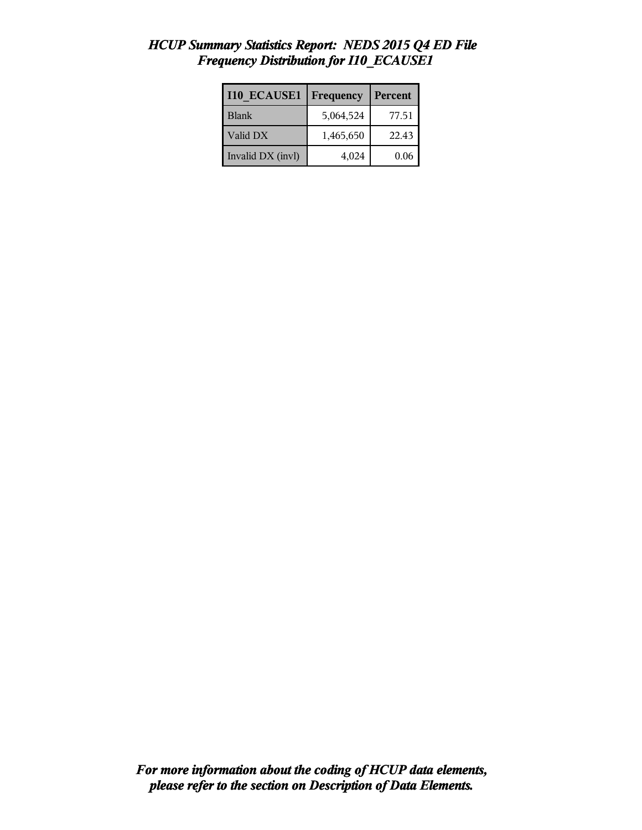| <b>I10 ECAUSE1</b> | Frequency | Percent |
|--------------------|-----------|---------|
| Blank              | 5,064,524 | 77.51   |
| Valid DX           | 1,465,650 | 22.43   |
| Invalid DX (invl)  | 4,024     | 0.06    |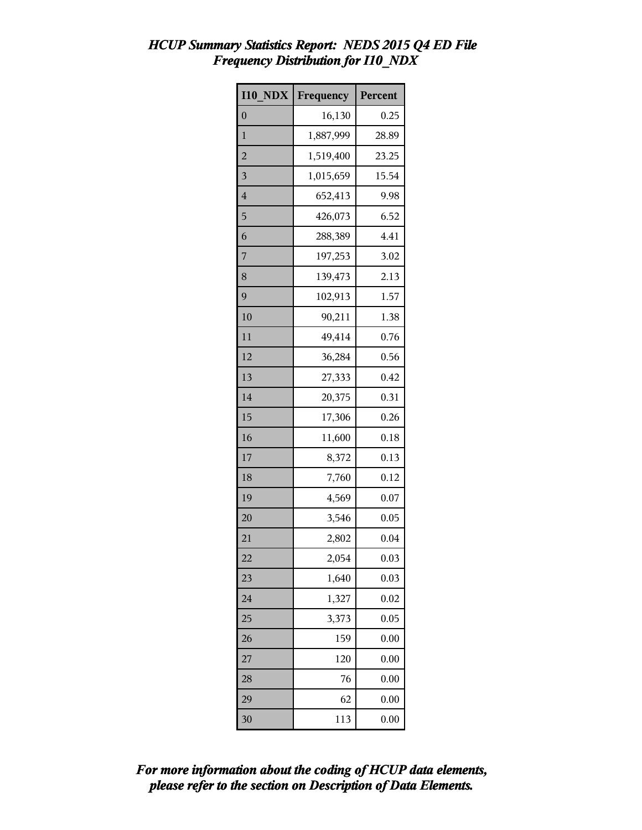| <b>I10 NDX</b> | Frequency | Percent |
|----------------|-----------|---------|
| $\overline{0}$ | 16,130    | 0.25    |
| $\mathbf{1}$   | 1,887,999 | 28.89   |
| $\overline{a}$ | 1,519,400 | 23.25   |
| 3              | 1,015,659 | 15.54   |
| $\overline{4}$ | 652,413   | 9.98    |
| 5              | 426,073   | 6.52    |
| 6              | 288,389   | 4.41    |
| 7              | 197,253   | 3.02    |
| 8              | 139,473   | 2.13    |
| 9              | 102,913   | 1.57    |
| 10             | 90,211    | 1.38    |
| 11             | 49,414    | 0.76    |
| 12             | 36,284    | 0.56    |
| 13             | 27,333    | 0.42    |
| 14             | 20,375    | 0.31    |
| 15             | 17,306    | 0.26    |
| 16             | 11,600    | 0.18    |
| 17             | 8,372     | 0.13    |
| 18             | 7,760     | 0.12    |
| 19             | 4,569     | 0.07    |
| 20             | 3,546     | 0.05    |
| 21             | 2,802     | 0.04    |
| 22             | 2,054     | 0.03    |
| 23             | 1,640     | 0.03    |
| 24             | 1,327     | 0.02    |
| 25             | 3,373     | 0.05    |
| 26             | 159       | 0.00    |
| 27             | 120       | 0.00    |
| 28             | 76        | 0.00    |
| 29             | 62        | 0.00    |
| 30             | 113       | 0.00    |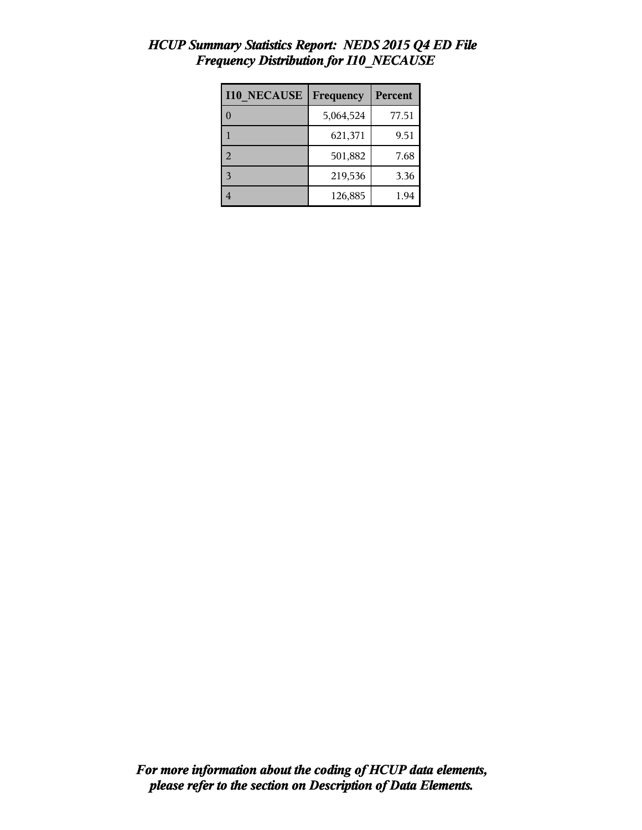| <b>I10 NECAUSE</b> | Frequency | <b>Percent</b> |
|--------------------|-----------|----------------|
|                    | 5,064,524 | 77.51          |
|                    | 621,371   | 9.51           |
| $\mathcal{L}$      | 501,882   | 7.68           |
| $\mathbf{3}$       | 219,536   | 3.36           |
|                    | 126,885   | 1.94           |